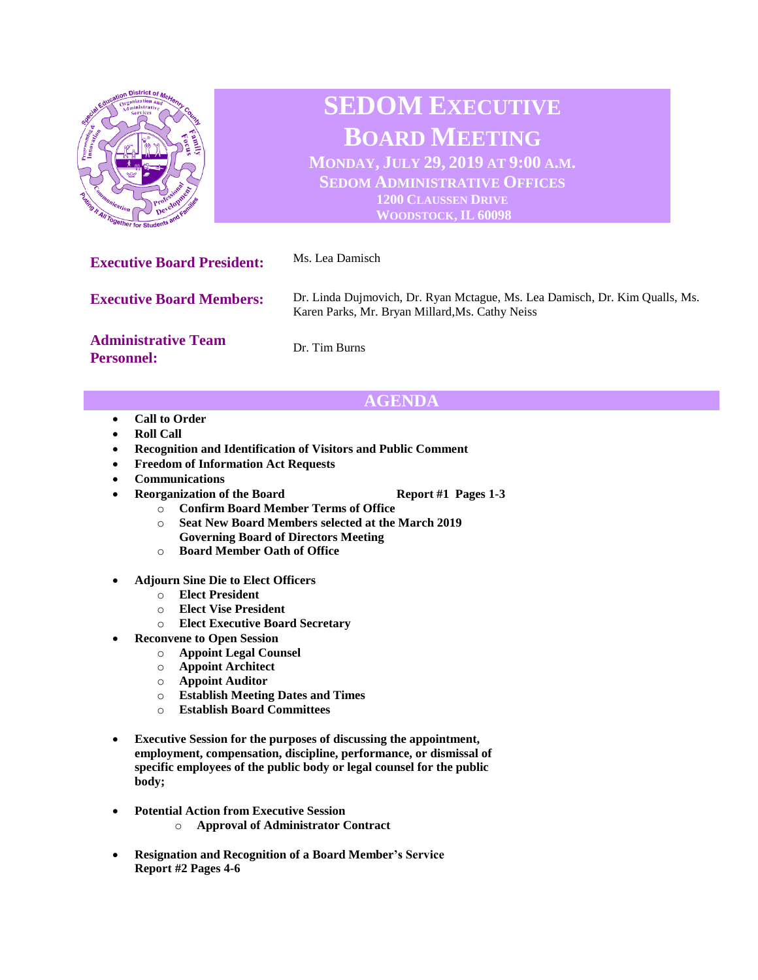

# **AGENDA**

- **Call to Order**
- **Roll Call**
- **Recognition and Identification of Visitors and Public Comment**
- **Freedom of Information Act Requests**
- **Communications**
- **Reorganization of the Board Report #1 Pages 1-3** 
	-
	- o **Confirm Board Member Terms of Office**
	- o **Seat New Board Members selected at the March 2019 Governing Board of Directors Meeting**
	- o **Board Member Oath of Office**
- **Adjourn Sine Die to Elect Officers**
	- o **Elect President**
	- o **Elect Vise President**
	- o **Elect Executive Board Secretary**
	- **Reconvene to Open Session**
		- o **Appoint Legal Counsel**
		- o **Appoint Architect**
		- o **Appoint Auditor**
		- o **Establish Meeting Dates and Times**
		- o **Establish Board Committees**
- **Executive Session for the purposes of discussing the appointment, employment, compensation, discipline, performance, or dismissal of specific employees of the public body or legal counsel for the public body;**
- **Potential Action from Executive Session** 
	- o **Approval of Administrator Contract**
- **Resignation and Recognition of a Board Member's Service Report #2 Pages 4-6**